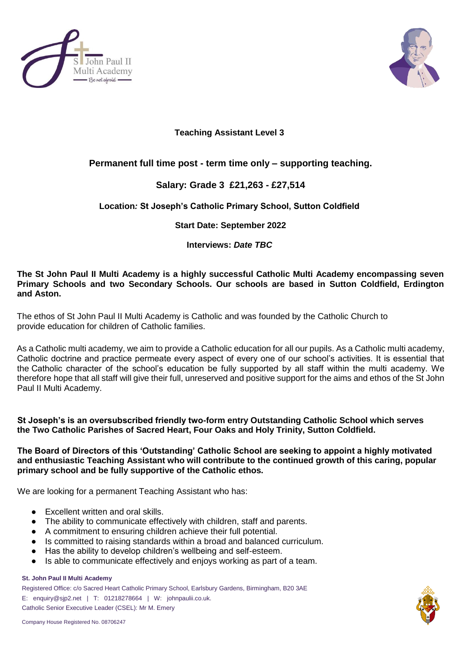



## **Teaching Assistant Level 3**

# **Permanent full time post - term time only – supporting teaching.**

# **Salary: Grade 3 £21,263 - £27,514**

## **Location***:* **St Joseph's Catholic Primary School, Sutton Coldfield**

## **Start Date: September 2022**

#### **Interviews:** *Date TBC*

#### **The St John Paul II Multi Academy is a highly successful Catholic Multi Academy encompassing seven Primary Schools and two Secondary Schools. Our schools are based in Sutton Coldfield, Erdington and Aston.**

The ethos of St John Paul II Multi Academy is Catholic and was founded by the Catholic Church to provide education for children of Catholic families.

As a Catholic multi academy, we aim to provide a Catholic education for all our pupils. As a Catholic multi academy, Catholic doctrine and practice permeate every aspect of every one of our school's activities. It is essential that the Catholic character of the school's education be fully supported by all staff within the multi academy. We therefore hope that all staff will give their full, unreserved and positive support for the aims and ethos of the St John Paul II Multi Academy.

#### **St Joseph's is an oversubscribed friendly two-form entry Outstanding Catholic School which serves the Two Catholic Parishes of Sacred Heart, Four Oaks and Holy Trinity, Sutton Coldfield.**

**The Board of Directors of this 'Outstanding' Catholic School are seeking to appoint a highly motivated and enthusiastic Teaching Assistant who will contribute to the continued growth of this caring, popular primary school and be fully supportive of the Catholic ethos.**

We are looking for a permanent Teaching Assistant who has:

- Excellent written and oral skills.
- The ability to communicate effectively with children, staff and parents.
- A commitment to ensuring children achieve their full potential.
- Is committed to raising standards within a broad and balanced curriculum.
- Has the ability to develop children's wellbeing and self-esteem.
- Is able to communicate effectively and enjoys working as part of a team.

#### **St. John Paul II Multi Academy**

Registered Office: c/o Sacred Heart Catholic Primary School, Earlsbury Gardens, Birmingham, B20 3AE E: [enquiry@sjp2.net](mailto:enquiry@sjp2.net) | T: 01218278664 | W: johnpaulii.co.uk. Catholic Senior Executive Leader (CSEL): Mr M. Emery